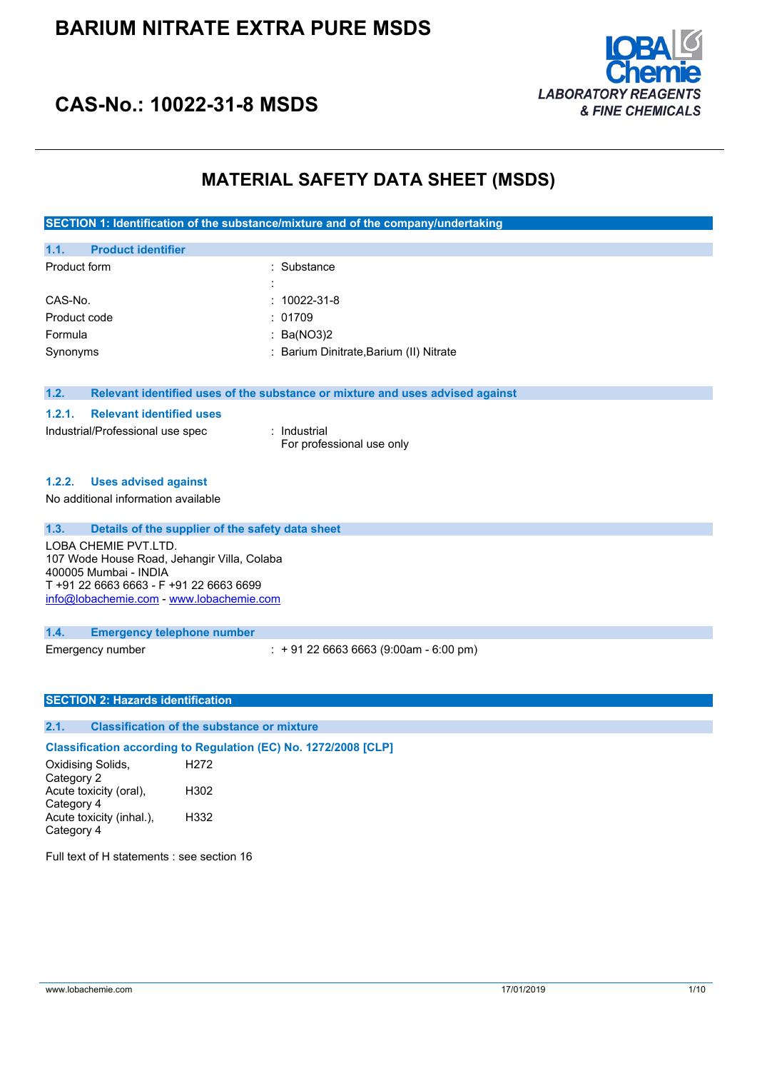

## **CAS-No.: 10022-31-8 MSDS**

### **MATERIAL SAFETY DATA SHEET (MSDS)**

**SECTION 1: Identification of the substance/mixture and of the company/undertaking**

| <b>Product identifier</b><br>1.1. |                                                                               |
|-----------------------------------|-------------------------------------------------------------------------------|
| Product form                      | : Substance                                                                   |
|                                   |                                                                               |
| CAS-No.                           | $: 10022 - 31 - 8$                                                            |
| Product code                      | : 01709                                                                       |
| Formula                           | : Ba(NO3)2                                                                    |
| Synonyms                          | : Barium Dinitrate, Barium (II) Nitrate                                       |
|                                   |                                                                               |
|                                   |                                                                               |
| 1.2.                              | Relevant identified uses of the substance or mixture and uses advised against |

#### **1.2.1. Relevant identified uses**

| Industrial/Professional use spec |  |
|----------------------------------|--|

: Industrial For professional use only

#### **1.2.2. Uses advised against**

No additional information available

| 1.3.<br>Details of the supplier of the safety data sheet                                     |                                             |  |
|----------------------------------------------------------------------------------------------|---------------------------------------------|--|
| LOBA CHEMIE PVT.LTD.<br>107 Wode House Road, Jehangir Villa, Colaba<br>400005 Mumbai - INDIA |                                             |  |
| T +91 22 6663 6663 - F +91 22 6663 6699<br>info@lobachemie.com - www.lobachemie.com          |                                             |  |
|                                                                                              |                                             |  |
| 1.4.<br><b>Emergency telephone number</b>                                                    |                                             |  |
| Emergency number                                                                             | $\div$ + 91 22 6663 6663 (9:00am - 6:00 pm) |  |

#### **SECTION 2: Hazards identification**

### **2.1. Classification of the substance or mixture**

**Classification according to Regulation (EC) No. 1272/2008 [CLP]**

Oxidising Solids, Category 2 H272 Acute toxicity (oral), Category 4 H302 Acute toxicity (inhal.), Category 4 H332

Full text of H statements : see section 16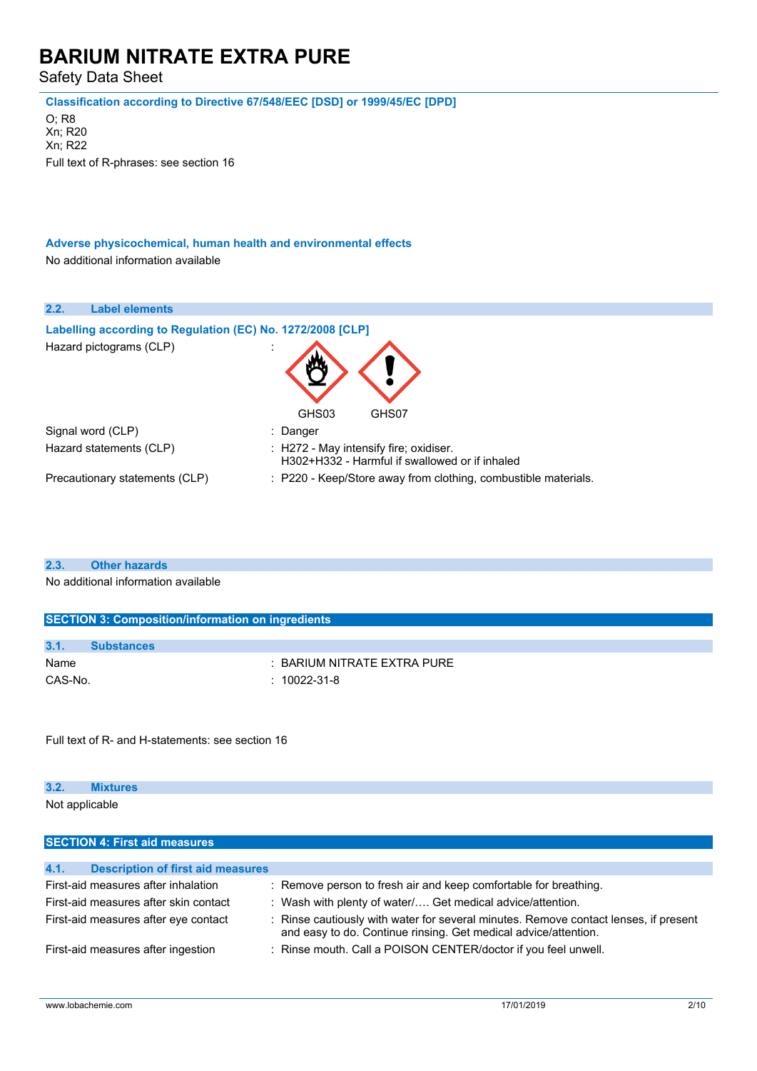Safety Data Sheet

**Classification according to Directive 67/548/EEC [DSD] or 1999/45/EC [DPD]**

O; R8 Xn; R20 Xn; R22 Full text of R-phrases: see section 16

**Adverse physicochemical, human health and environmental effects** No additional information available

| 2.2. | <b>Label elements</b>                                      |                                                                                          |
|------|------------------------------------------------------------|------------------------------------------------------------------------------------------|
|      | Labelling according to Regulation (EC) No. 1272/2008 [CLP] |                                                                                          |
|      | Hazard pictograms (CLP)                                    | $\cdot$<br>GHS03<br>GHS07                                                                |
|      | Signal word (CLP)                                          | : Danger                                                                                 |
|      | Hazard statements (CLP)                                    | : H272 - May intensify fire; oxidiser.<br>H302+H332 - Harmful if swallowed or if inhaled |
|      | Precautionary statements (CLP)                             | : P220 - Keep/Store away from clothing, combustible materials.                           |

**2.3. Other hazards**

No additional information available

| <b>SECTION 3: Composition/information on ingredients</b> |                   |                                        |  |
|----------------------------------------------------------|-------------------|----------------------------------------|--|
|                                                          |                   |                                        |  |
| 3.1.                                                     | <b>Substances</b> |                                        |  |
| Name                                                     |                   | $\therefore$ BARIUM NITRATE EXTRA PURE |  |
| CAS-No.                                                  |                   | $: 10022 - 31 - 8$                     |  |
|                                                          |                   |                                        |  |

Full text of R- and H-statements: see section 16

### **3.2. Mixtures**

Not applicable

| <b>SECTION 4: First aid measures</b>             |                                                                                                                                                       |  |
|--------------------------------------------------|-------------------------------------------------------------------------------------------------------------------------------------------------------|--|
|                                                  |                                                                                                                                                       |  |
| 4.1.<br><b>Description of first aid measures</b> |                                                                                                                                                       |  |
| First-aid measures after inhalation              | : Remove person to fresh air and keep comfortable for breathing.                                                                                      |  |
| First-aid measures after skin contact            | : Wash with plenty of water/ Get medical advice/attention.                                                                                            |  |
| First-aid measures after eye contact             | Rinse cautiously with water for several minutes. Remove contact lenses, if present<br>and easy to do. Continue rinsing. Get medical advice/attention. |  |
| First-aid measures after ingestion               | : Rinse mouth. Call a POISON CENTER/doctor if you feel unwell.                                                                                        |  |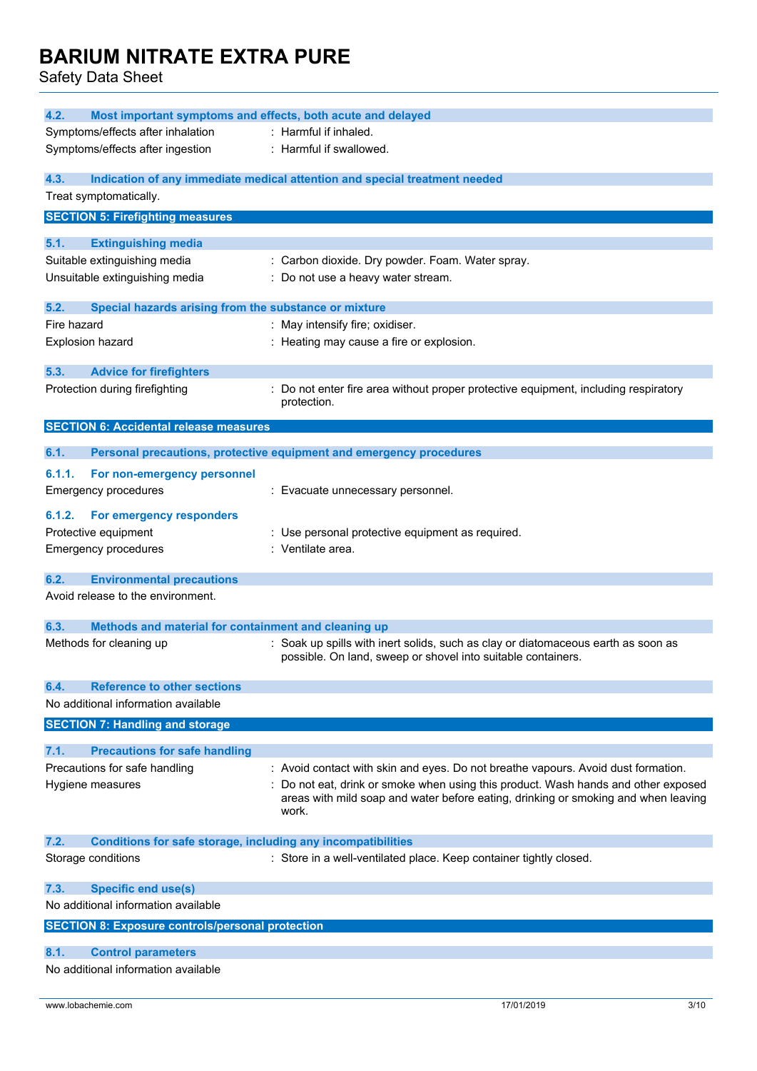| 4.2.<br>Most important symptoms and effects, both acute and delayed         |                                                                                                                                                   |  |
|-----------------------------------------------------------------------------|---------------------------------------------------------------------------------------------------------------------------------------------------|--|
| Symptoms/effects after inhalation                                           | : Harmful if inhaled.                                                                                                                             |  |
| Symptoms/effects after ingestion                                            | : Harmful if swallowed.                                                                                                                           |  |
|                                                                             |                                                                                                                                                   |  |
| 4.3.                                                                        | Indication of any immediate medical attention and special treatment needed                                                                        |  |
| Treat symptomatically.                                                      |                                                                                                                                                   |  |
| <b>SECTION 5: Firefighting measures</b>                                     |                                                                                                                                                   |  |
| 5.1.<br><b>Extinguishing media</b>                                          |                                                                                                                                                   |  |
| Suitable extinguishing media                                                | : Carbon dioxide. Dry powder. Foam. Water spray.                                                                                                  |  |
| Unsuitable extinguishing media                                              | : Do not use a heavy water stream.                                                                                                                |  |
|                                                                             |                                                                                                                                                   |  |
| 5.2.<br>Special hazards arising from the substance or mixture               |                                                                                                                                                   |  |
| Fire hazard                                                                 | : May intensify fire; oxidiser.                                                                                                                   |  |
| Explosion hazard                                                            | : Heating may cause a fire or explosion.                                                                                                          |  |
| 5.3.<br><b>Advice for firefighters</b>                                      |                                                                                                                                                   |  |
| Protection during firefighting                                              | : Do not enter fire area without proper protective equipment, including respiratory                                                               |  |
|                                                                             | protection.                                                                                                                                       |  |
| <b>SECTION 6: Accidental release measures</b>                               |                                                                                                                                                   |  |
|                                                                             |                                                                                                                                                   |  |
| 6.1.                                                                        | Personal precautions, protective equipment and emergency procedures                                                                               |  |
| For non-emergency personnel<br>6.1.1.                                       |                                                                                                                                                   |  |
| <b>Emergency procedures</b>                                                 | : Evacuate unnecessary personnel.                                                                                                                 |  |
| For emergency responders<br>6.1.2.                                          |                                                                                                                                                   |  |
| Protective equipment                                                        | : Use personal protective equipment as required.                                                                                                  |  |
| <b>Emergency procedures</b>                                                 | : Ventilate area.                                                                                                                                 |  |
|                                                                             |                                                                                                                                                   |  |
| 6.2.<br><b>Environmental precautions</b>                                    |                                                                                                                                                   |  |
| Avoid release to the environment.                                           |                                                                                                                                                   |  |
|                                                                             |                                                                                                                                                   |  |
| 6.3.<br>Methods and material for containment and cleaning up                |                                                                                                                                                   |  |
| Methods for cleaning up                                                     | : Soak up spills with inert solids, such as clay or diatomaceous earth as soon as<br>possible. On land, sweep or shovel into suitable containers. |  |
|                                                                             |                                                                                                                                                   |  |
| <b>Reference to other sections</b><br>6.4.                                  |                                                                                                                                                   |  |
| No additional information available                                         |                                                                                                                                                   |  |
| <b>SECTION 7: Handling and storage</b>                                      |                                                                                                                                                   |  |
| 7.1.<br><b>Precautions for safe handling</b>                                |                                                                                                                                                   |  |
| Precautions for safe handling                                               | : Avoid contact with skin and eyes. Do not breathe vapours. Avoid dust formation.                                                                 |  |
| Hygiene measures                                                            | : Do not eat, drink or smoke when using this product. Wash hands and other exposed                                                                |  |
|                                                                             | areas with mild soap and water before eating, drinking or smoking and when leaving                                                                |  |
|                                                                             | work.                                                                                                                                             |  |
|                                                                             |                                                                                                                                                   |  |
| 7.2.<br><b>Conditions for safe storage, including any incompatibilities</b> |                                                                                                                                                   |  |
| Storage conditions                                                          | : Store in a well-ventilated place. Keep container tightly closed.                                                                                |  |
| 7.3.<br><b>Specific end use(s)</b>                                          |                                                                                                                                                   |  |
| No additional information available                                         |                                                                                                                                                   |  |
| <b>SECTION 8: Exposure controls/personal protection</b>                     |                                                                                                                                                   |  |
|                                                                             |                                                                                                                                                   |  |
| 8.1.<br><b>Control parameters</b>                                           |                                                                                                                                                   |  |
| No additional information available                                         |                                                                                                                                                   |  |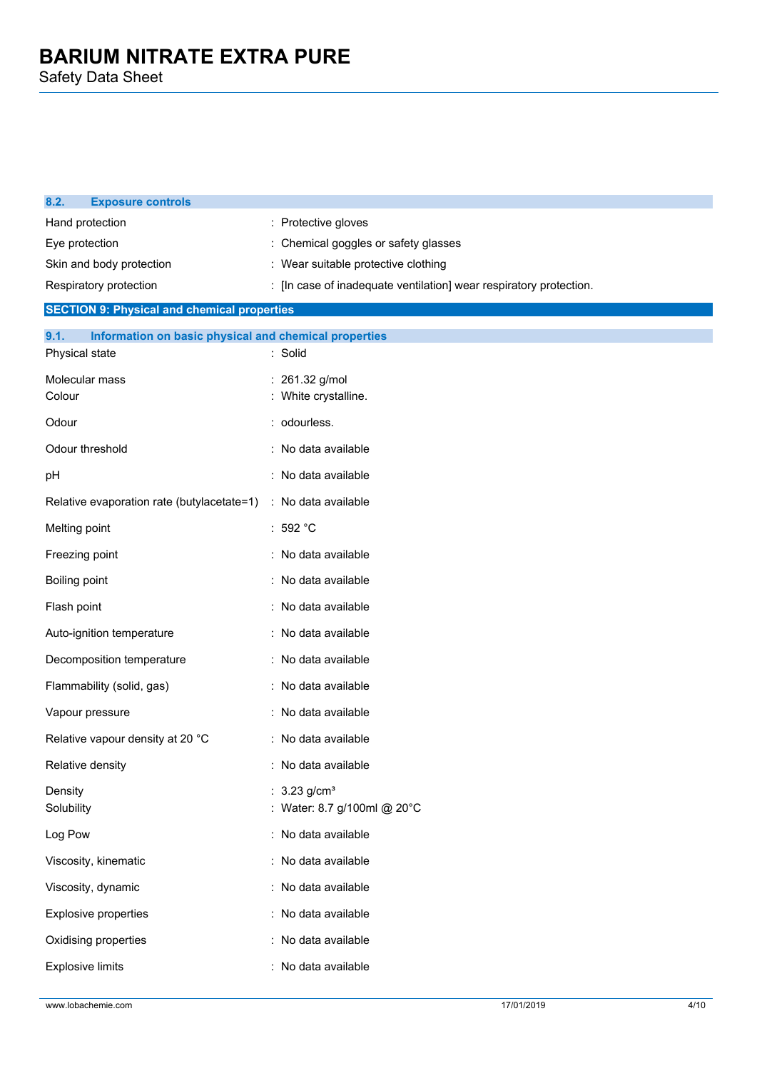| 8.2.<br><b>Exposure controls</b>                              |                                                                    |  |
|---------------------------------------------------------------|--------------------------------------------------------------------|--|
| Hand protection                                               | : Protective gloves                                                |  |
| Eye protection                                                | : Chemical goggles or safety glasses                               |  |
| Skin and body protection                                      | : Wear suitable protective clothing                                |  |
| Respiratory protection                                        | : [In case of inadequate ventilation] wear respiratory protection. |  |
| <b>SECTION 9: Physical and chemical properties</b>            |                                                                    |  |
| 9.1.<br>Information on basic physical and chemical properties |                                                                    |  |
| Physical state                                                | : Solid                                                            |  |
| Molecular mass<br>Colour                                      | 261.32 g/mol<br>: White crystalline.                               |  |
| Odour                                                         | : odourless.                                                       |  |
| Odour threshold                                               | : No data available                                                |  |
| pH                                                            | No data available                                                  |  |
| Relative evaporation rate (butylacetate=1)                    | : No data available                                                |  |
| Melting point                                                 | : 592 $^{\circ}$ C                                                 |  |
| Freezing point                                                | : No data available                                                |  |
| Boiling point                                                 | No data available                                                  |  |
| Flash point                                                   | : No data available                                                |  |
| Auto-ignition temperature                                     | : No data available                                                |  |
| Decomposition temperature                                     | : No data available                                                |  |
| Flammability (solid, gas)                                     | : No data available                                                |  |
| Vapour pressure                                               | No data available                                                  |  |
| Relative vapour density at 20 °C                              | : No data available                                                |  |
| Relative density                                              | No data available                                                  |  |
| Density<br>Solubility                                         | : $3.23$ g/cm <sup>3</sup><br>: Water: 8.7 g/100ml @ 20°C          |  |
| Log Pow                                                       | : No data available                                                |  |
| Viscosity, kinematic                                          | : No data available                                                |  |
| Viscosity, dynamic                                            | : No data available                                                |  |
| <b>Explosive properties</b>                                   | : No data available                                                |  |
| Oxidising properties                                          | : No data available                                                |  |
| <b>Explosive limits</b>                                       | : No data available                                                |  |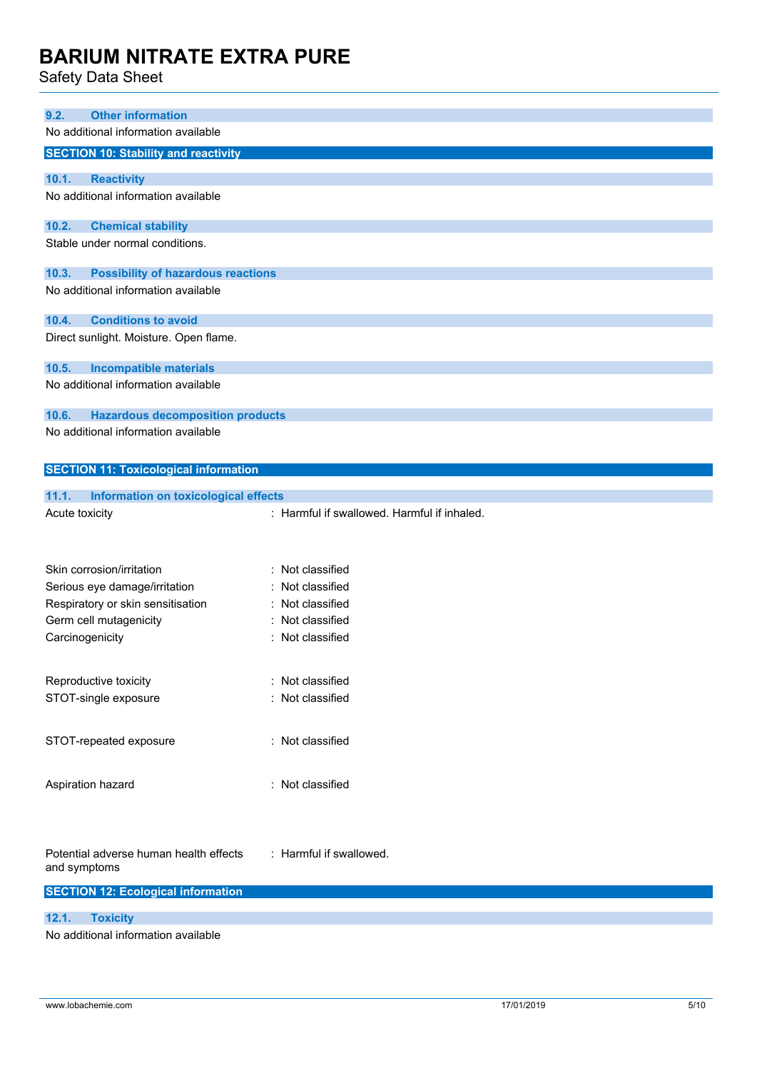| Sarety Data Sheet                                                       |                                             |
|-------------------------------------------------------------------------|---------------------------------------------|
|                                                                         |                                             |
| 9.2.<br><b>Other information</b><br>No additional information available |                                             |
|                                                                         |                                             |
| <b>SECTION 10: Stability and reactivity</b>                             |                                             |
| 10.1.<br><b>Reactivity</b>                                              |                                             |
| No additional information available                                     |                                             |
| 10.2.<br><b>Chemical stability</b>                                      |                                             |
| Stable under normal conditions.                                         |                                             |
| 10.3.<br><b>Possibility of hazardous reactions</b>                      |                                             |
| No additional information available                                     |                                             |
|                                                                         |                                             |
| <b>Conditions to avoid</b><br>10.4.                                     |                                             |
| Direct sunlight. Moisture. Open flame.                                  |                                             |
| 10.5.<br><b>Incompatible materials</b>                                  |                                             |
| No additional information available                                     |                                             |
| 10.6.<br><b>Hazardous decomposition products</b>                        |                                             |
| No additional information available                                     |                                             |
|                                                                         |                                             |
|                                                                         |                                             |
| <b>SECTION 11: Toxicological information</b>                            |                                             |
|                                                                         |                                             |
| 11.1.<br>Information on toxicological effects<br>Acute toxicity         | : Harmful if swallowed. Harmful if inhaled. |
|                                                                         |                                             |
|                                                                         |                                             |
| Skin corrosion/irritation                                               | : Not classified                            |
| Serious eye damage/irritation                                           | Not classified                              |
| Respiratory or skin sensitisation                                       | Not classified                              |
| Germ cell mutagenicity                                                  | : Not classified                            |
| Carcinogenicity                                                         | : Not classified                            |
|                                                                         |                                             |
| Reproductive toxicity                                                   | : Not classified                            |
| STOT-single exposure                                                    | : Not classified                            |
|                                                                         |                                             |
| STOT-repeated exposure                                                  | : Not classified                            |
|                                                                         |                                             |
| Aspiration hazard                                                       | : Not classified                            |
|                                                                         |                                             |
|                                                                         |                                             |
| Potential adverse human health effects                                  | : Harmful if swallowed.                     |
| and symptoms                                                            |                                             |
| <b>SECTION 12: Ecological information</b>                               |                                             |
| 12.1.<br><b>Toxicity</b>                                                |                                             |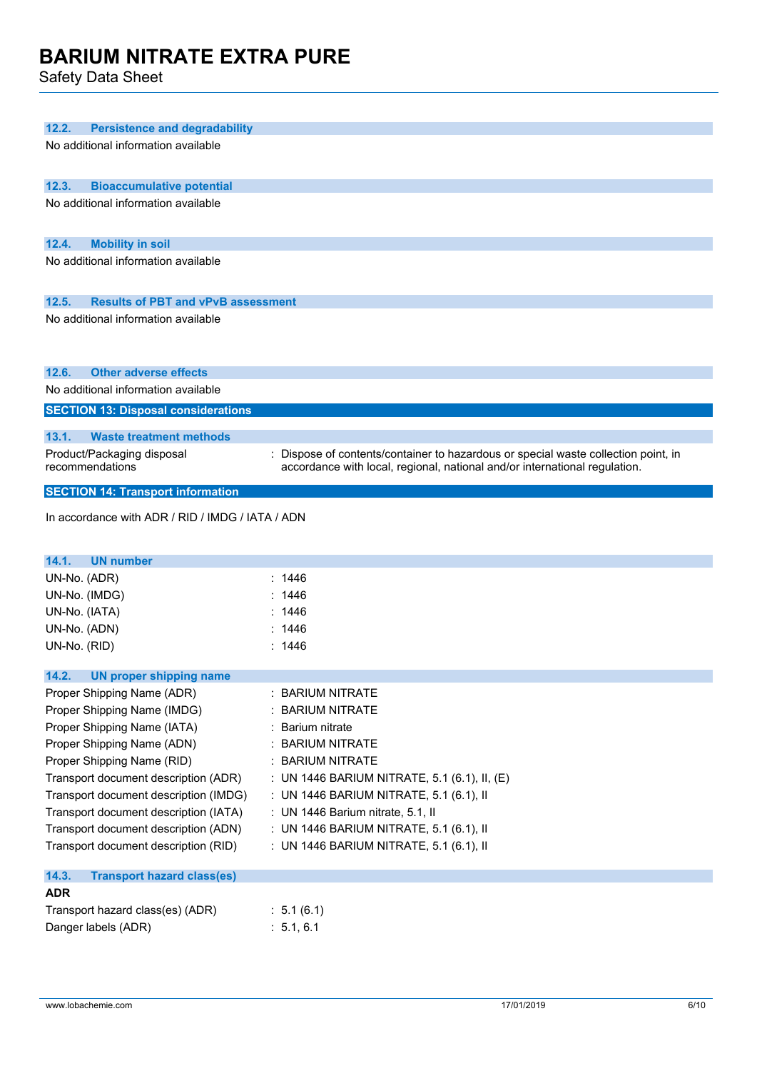| 12.2.         |                                                  |                                                                                                                                                                |
|---------------|--------------------------------------------------|----------------------------------------------------------------------------------------------------------------------------------------------------------------|
|               | <b>Persistence and degradability</b>             |                                                                                                                                                                |
|               | No additional information available              |                                                                                                                                                                |
|               |                                                  |                                                                                                                                                                |
| 12.3.         | <b>Bioaccumulative potential</b>                 |                                                                                                                                                                |
|               | No additional information available              |                                                                                                                                                                |
|               |                                                  |                                                                                                                                                                |
| 12.4.         | <b>Mobility in soil</b>                          |                                                                                                                                                                |
|               | No additional information available              |                                                                                                                                                                |
|               |                                                  |                                                                                                                                                                |
| 12.5.         | <b>Results of PBT and vPvB assessment</b>        |                                                                                                                                                                |
|               | No additional information available              |                                                                                                                                                                |
|               |                                                  |                                                                                                                                                                |
|               |                                                  |                                                                                                                                                                |
| 12.6.         | <b>Other adverse effects</b>                     |                                                                                                                                                                |
|               | No additional information available              |                                                                                                                                                                |
|               | <b>SECTION 13: Disposal considerations</b>       |                                                                                                                                                                |
|               |                                                  |                                                                                                                                                                |
| 13.1.         | <b>Waste treatment methods</b>                   |                                                                                                                                                                |
|               | Product/Packaging disposal<br>recommendations    | Dispose of contents/container to hazardous or special waste collection point, in<br>accordance with local, regional, national and/or international regulation. |
|               |                                                  |                                                                                                                                                                |
|               | <b>SECTION 14: Transport information</b>         |                                                                                                                                                                |
|               | In accordance with ADR / RID / IMDG / IATA / ADN |                                                                                                                                                                |
|               |                                                  |                                                                                                                                                                |
|               |                                                  |                                                                                                                                                                |
|               |                                                  |                                                                                                                                                                |
| 14.1.         | <b>UN number</b>                                 |                                                                                                                                                                |
| UN-No. (ADR)  |                                                  | :1446                                                                                                                                                          |
| UN-No. (IMDG) |                                                  | 1446                                                                                                                                                           |
| UN-No. (IATA) |                                                  | 1446<br>1446                                                                                                                                                   |
| UN-No. (ADN)  |                                                  | : 1446                                                                                                                                                         |
| UN-No. (RID)  |                                                  |                                                                                                                                                                |
| 14.2.         | UN proper shipping name                          |                                                                                                                                                                |
|               | Proper Shipping Name (ADR)                       | <b>BARIUM NITRATE</b>                                                                                                                                          |
|               | Proper Shipping Name (IMDG)                      | <b>BARIUM NITRATE</b>                                                                                                                                          |
|               | Proper Shipping Name (IATA)                      | Barium nitrate                                                                                                                                                 |
|               | Proper Shipping Name (ADN)                       | <b>BARIUM NITRATE</b>                                                                                                                                          |
|               | Proper Shipping Name (RID)                       | : BARIUM NITRATE                                                                                                                                               |
|               | Transport document description (ADR)             | : UN 1446 BARIUM NITRATE, 5.1 (6.1), II, (E)                                                                                                                   |
|               | Transport document description (IMDG)            | : UN 1446 BARIUM NITRATE, 5.1 (6.1), II                                                                                                                        |
|               | Transport document description (IATA)            | : UN 1446 Barium nitrate, 5.1, II                                                                                                                              |
|               | Transport document description (ADN)             | : UN 1446 BARIUM NITRATE, 5.1 (6.1), II                                                                                                                        |
|               | Transport document description (RID)             | : UN 1446 BARIUM NITRATE, 5.1 (6.1), II                                                                                                                        |
|               |                                                  |                                                                                                                                                                |
| 14.3.         | <b>Transport hazard class(es)</b>                |                                                                                                                                                                |
| <b>ADR</b>    | Transport hazard class(es) (ADR)                 | : 5.1(6.1)                                                                                                                                                     |
|               | Danger labels (ADR)                              | : 5.1, 6.1                                                                                                                                                     |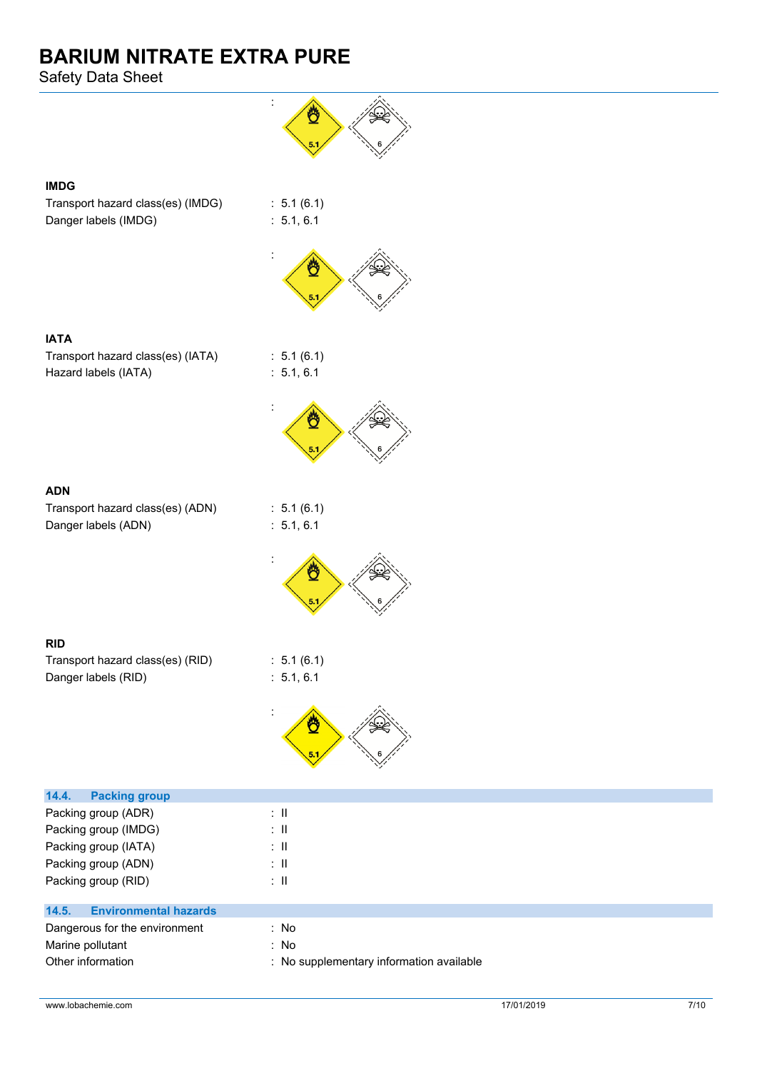Safety Data Sheet



### **IMDG**

Transport hazard class(es) (IMDG) : 5.1 (6.1) Danger labels (IMDG) : 5.1, 6.1



 $: 5.1 (6.1)$  $: 5.1, 6.1$ 

Ć

:

:

:



| <b>IATA</b>                       |  |
|-----------------------------------|--|
| Transport hazard class(es) (IATA) |  |
| Hazard labels (IATA)              |  |



Transport hazard class(es) (ADN) : 5.1 (6.1) Danger labels (ADN) : 5.1, 6.1





| -----                            |                      |
|----------------------------------|----------------------|
| Transport hazard class(es) (RID) | : 5.1(6.1)           |
| Danger labels (RID)              | $\therefore$ 5.1.6.1 |



| <b>Packing group</b><br>14.4.         |                                          |
|---------------------------------------|------------------------------------------|
| Packing group (ADR)                   | ÷Ш                                       |
| Packing group (IMDG)                  | ÷Ш                                       |
| Packing group (IATA)                  | ÷Ш                                       |
| Packing group (ADN)                   | ÷Ш                                       |
| Packing group (RID)                   | ÷Ш                                       |
| <b>Environmental hazards</b><br>14.5. |                                          |
| Dangerous for the environment         | : No                                     |
| Marine pollutant                      | : No                                     |
| Other information                     | : No supplementary information available |
|                                       |                                          |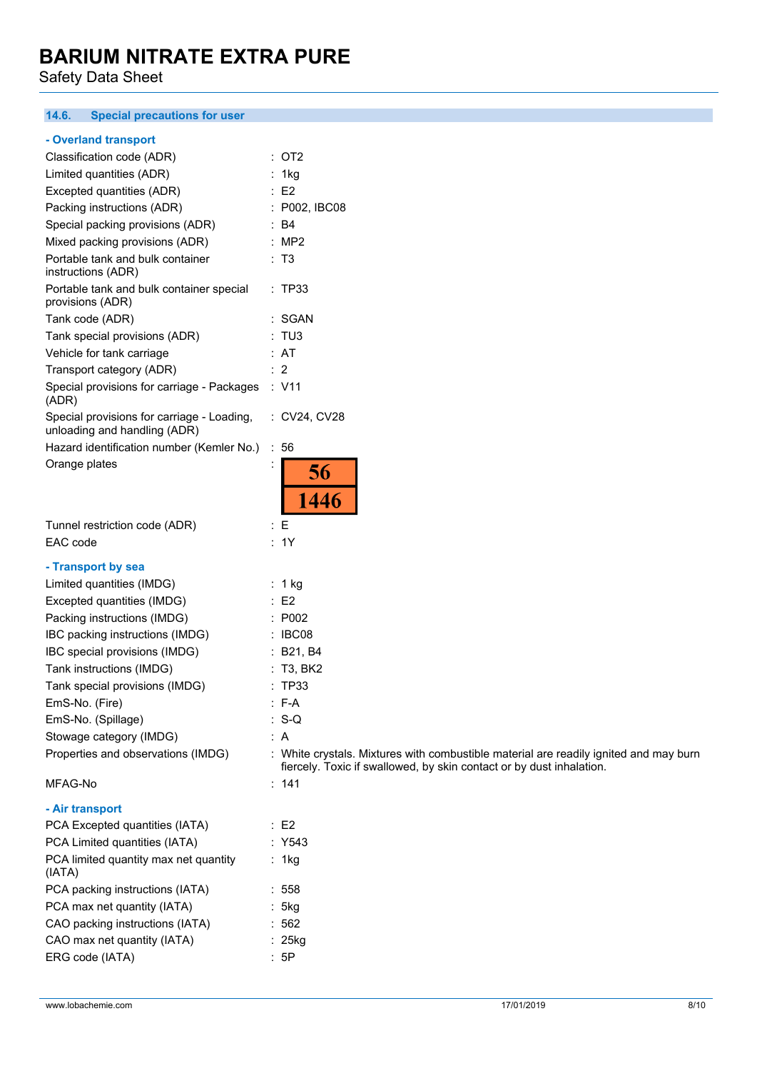Safety Data Sheet

#### **14.6. Special precautions for user**

#### **- Overland transport**

| Classification code (ADR)                                                  | $:$ OT2                                                                                      |
|----------------------------------------------------------------------------|----------------------------------------------------------------------------------------------|
| Limited quantities (ADR)                                                   | : 1kg                                                                                        |
| Excepted quantities (ADR)                                                  | $\therefore$ E2                                                                              |
| Packing instructions (ADR)                                                 | : P002, IBC08                                                                                |
| Special packing provisions (ADR)                                           | $\therefore$ B4                                                                              |
| Mixed packing provisions (ADR)                                             | : MP2                                                                                        |
| Portable tank and bulk container<br>instructions (ADR)                     | : T3                                                                                         |
| Portable tank and bulk container special<br>provisions (ADR)               | : TP33                                                                                       |
| Tank code (ADR)                                                            | : SGAN                                                                                       |
| Tank special provisions (ADR)                                              | : TUS                                                                                        |
| Vehicle for tank carriage                                                  | : AT                                                                                         |
| Transport category (ADR)                                                   | : 2                                                                                          |
| Special provisions for carriage - Packages<br>(ADR)                        | : V11                                                                                        |
| Special provisions for carriage - Loading,<br>unloading and handling (ADR) | : CV24, CV28                                                                                 |
| Hazard identification number (Kemler No.)                                  | : 56                                                                                         |
| Orange plates                                                              | 56<br>1446                                                                                   |
| Tunnel restriction code (ADR)                                              | : E                                                                                          |
| EAC code                                                                   | : 1Y                                                                                         |
|                                                                            |                                                                                              |
| - Transport by sea                                                         |                                                                                              |
| Limited quantities (IMDG)<br>Excepted quantities (IMDG)                    | $: 1$ kg<br>$\therefore$ E2                                                                  |
| Packing instructions (IMDG)                                                | : P002                                                                                       |
| IBC packing instructions (IMDG)                                            | $\therefore$ IBC08                                                                           |
| IBC special provisions (IMDG)                                              |                                                                                              |
| Tank instructions (IMDG)                                                   | : B21, B4<br>: T3, BK2                                                                       |
|                                                                            | : TP33                                                                                       |
| Tank special provisions (IMDG)<br>EmS-No. (Fire)                           | $: F-A$                                                                                      |
| EmS-No. (Spillage)                                                         | $: S-Q$                                                                                      |
|                                                                            |                                                                                              |
| Stowage category (IMDG)<br>Properties and observations (IMDG)              | : A<br>: White crystals. Mixtures with combustible material are readily ignited and may burn |
|                                                                            | fiercely. Toxic if swallowed, by skin contact or by dust inhalation.                         |
| MFAG-No                                                                    | : 141                                                                                        |
| - Air transport                                                            |                                                                                              |
| PCA Excepted quantities (IATA)                                             | $\therefore$ E2                                                                              |
| PCA Limited quantities (IATA)                                              | : Y543                                                                                       |
| PCA limited quantity max net quantity<br>(IATA)                            | : 1kg                                                                                        |
| PCA packing instructions (IATA)                                            | : 558                                                                                        |
| PCA max net quantity (IATA)                                                | : 5kg                                                                                        |
| CAO packing instructions (IATA)                                            | :562                                                                                         |
| CAO max net quantity (IATA)                                                | : 25kg                                                                                       |
| ERG code (IATA)                                                            |                                                                                              |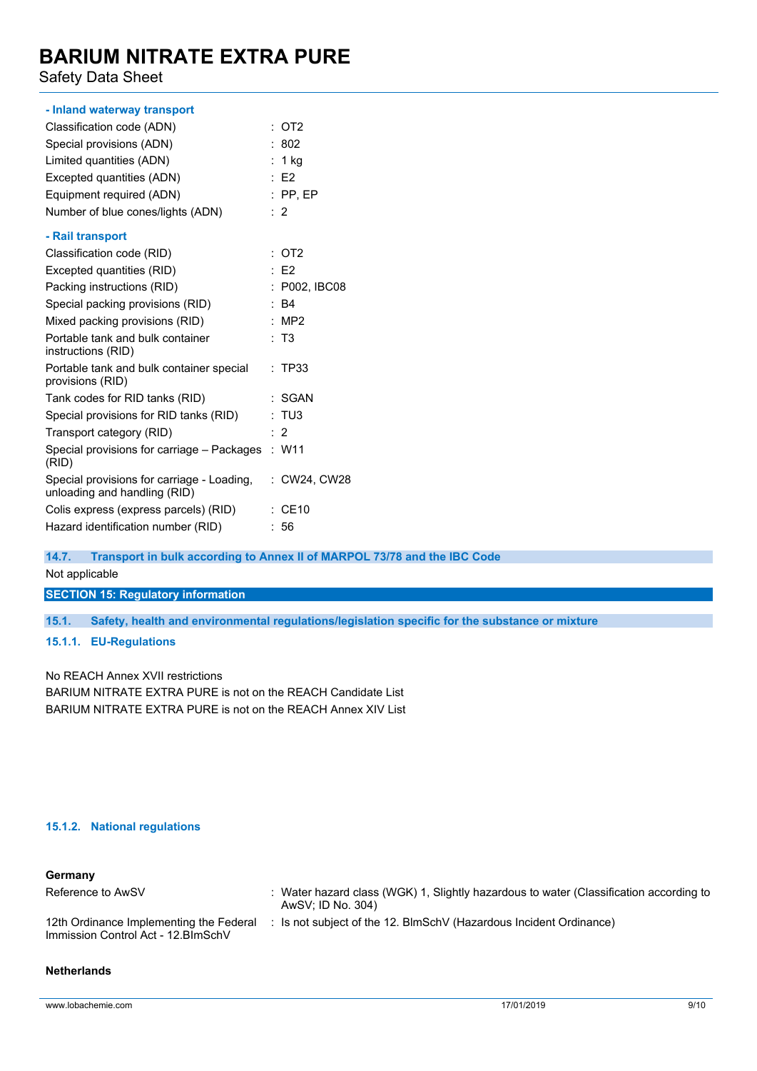Safety Data Sheet

| - Inland waterway transport                                                |                   |
|----------------------------------------------------------------------------|-------------------|
| Classification code (ADN)                                                  | $:$ OT2           |
| Special provisions (ADN)                                                   | : 802             |
| Limited quantities (ADN)                                                   | : $1$ kg          |
| Excepted quantities (ADN)                                                  | E2                |
| Equipment required (ADN)                                                   | $:$ PP, EP        |
| Number of blue cones/lights (ADN)                                          | $\cdot$ 2         |
| - Rail transport                                                           |                   |
| Classification code (RID)                                                  | $\overline{O}$ T2 |
| Excepted quantities (RID)                                                  | $E$ F2            |
| Packing instructions (RID)                                                 | : P002, IBC08     |
| Special packing provisions (RID)                                           | : B4              |
| Mixed packing provisions (RID)                                             | : $MP2$           |
| Portable tank and bulk container<br>instructions (RID)                     | : T3              |
| Portable tank and bulk container special<br>provisions (RID)               | : TP33            |
| Tank codes for RID tanks (RID)                                             | : SGAN            |
| Special provisions for RID tanks (RID)                                     | : TUS             |
| Transport category (RID)                                                   | : 2               |
| Special provisions for carriage – Packages : W11<br>(RID)                  |                   |
| Special provisions for carriage - Loading,<br>unloading and handling (RID) | : CW24, CW28      |
| Colis express (express parcels) (RID)                                      | <b>CE10</b>       |
| Hazard identification number (RID)                                         | :56               |

**14.7. Transport in bulk according to Annex II of MARPOL 73/78 and the IBC Code**

Not applicable

**SECTION 15: Regulatory information**

**15.1. Safety, health and environmental regulations/legislation specific for the substance or mixture**

**15.1.1. EU-Regulations**

No REACH Annex XVII restrictions

BARIUM NITRATE EXTRA PURE is not on the REACH Candidate List BARIUM NITRATE EXTRA PURE is not on the REACH Annex XIV List

#### **15.1.2. National regulations**

| Germany                                                                        |                                                                                                           |
|--------------------------------------------------------------------------------|-----------------------------------------------------------------------------------------------------------|
| Reference to AwSV                                                              | Water hazard class (WGK) 1, Slightly hazardous to water (Classification according to<br>AwSV: ID No. 304) |
| 12th Ordinance Implementing the Federal<br>Immission Control Act - 12. BlmSchV | Is not subject of the 12. BlmSchV (Hazardous Incident Ordinance)                                          |

#### **Netherlands**